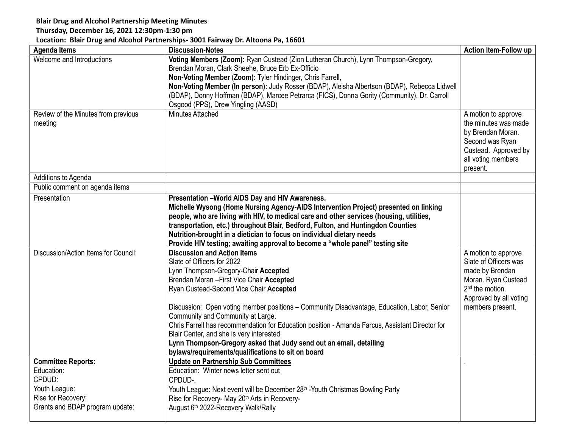## Blair Drug and Alcohol Partnership Meeting Minutes

## Thursday, December 16, 2021 12:30pm-1:30 pm

## Location: Blair Drug and Alcohol Partnerships- 3001 Fairway Dr. Altoona Pa, 16601

| <b>Agenda Items</b>                                   | <b>Discussion-Notes</b>                                                                                                                                                      | <b>Action Item-Follow up</b> |
|-------------------------------------------------------|------------------------------------------------------------------------------------------------------------------------------------------------------------------------------|------------------------------|
| Welcome and Introductions                             | Voting Members (Zoom): Ryan Custead (Zion Lutheran Church), Lynn Thompson-Gregory,                                                                                           |                              |
|                                                       | Brendan Moran, Clark Sheehe, Bruce Erb Ex-Officio                                                                                                                            |                              |
|                                                       | Non-Voting Member (Zoom): Tyler Hindinger, Chris Farrell,                                                                                                                    |                              |
|                                                       | Non-Voting Member (In person): Judy Rosser (BDAP), Aleisha Albertson (BDAP), Rebecca Lidwell                                                                                 |                              |
|                                                       | (BDAP), Donny Hoffman (BDAP), Marcee Petrarca (FICS), Donna Gority (Community), Dr. Carroll                                                                                  |                              |
|                                                       | Osgood (PPS), Drew Yingling (AASD)                                                                                                                                           |                              |
| Review of the Minutes from previous                   | Minutes Attached                                                                                                                                                             | A motion to approve          |
| meeting                                               |                                                                                                                                                                              | the minutes was made         |
|                                                       |                                                                                                                                                                              | by Brendan Moran.            |
|                                                       |                                                                                                                                                                              | Second was Ryan              |
|                                                       |                                                                                                                                                                              | Custead. Approved by         |
|                                                       |                                                                                                                                                                              | all voting members           |
|                                                       |                                                                                                                                                                              | present.                     |
| Additions to Agenda<br>Public comment on agenda items |                                                                                                                                                                              |                              |
|                                                       |                                                                                                                                                                              |                              |
| Presentation                                          | Presentation - World AIDS Day and HIV Awareness.                                                                                                                             |                              |
|                                                       | Michelle Wysong (Home Nursing Agency-AIDS Intervention Project) presented on linking                                                                                         |                              |
|                                                       | people, who are living with HIV, to medical care and other services (housing, utilities,<br>transportation, etc.) throughout Blair, Bedford, Fulton, and Huntingdon Counties |                              |
|                                                       | Nutrition-brought in a dietician to focus on individual dietary needs                                                                                                        |                              |
|                                                       | Provide HIV testing; awaiting approval to become a "whole panel" testing site                                                                                                |                              |
| Discussion/Action Items for Council:                  | <b>Discussion and Action Items</b>                                                                                                                                           | A motion to approve          |
|                                                       | Slate of Officers for 2022                                                                                                                                                   | Slate of Officers was        |
|                                                       | Lynn Thompson-Gregory-Chair Accepted                                                                                                                                         | made by Brendan              |
|                                                       | Brendan Moran - First Vice Chair Accepted                                                                                                                                    | Moran. Ryan Custead          |
|                                                       | Ryan Custead-Second Vice Chair Accepted                                                                                                                                      | 2 <sup>nd</sup> the motion.  |
|                                                       |                                                                                                                                                                              | Approved by all voting       |
|                                                       | Discussion: Open voting member positions - Community Disadvantage, Education, Labor, Senior                                                                                  | members present.             |
|                                                       | Community and Community at Large.                                                                                                                                            |                              |
|                                                       | Chris Farrell has recommendation for Education position - Amanda Farcus, Assistant Director for                                                                              |                              |
|                                                       | Blair Center, and she is very interested                                                                                                                                     |                              |
|                                                       | Lynn Thompson-Gregory asked that Judy send out an email, detailing                                                                                                           |                              |
|                                                       | bylaws/requirements/qualifications to sit on board                                                                                                                           |                              |
| <b>Committee Reports:</b>                             | <b>Update on Partnership Sub Committees</b>                                                                                                                                  |                              |
| Education:                                            | Education: Winter news letter sent out                                                                                                                                       |                              |
| CPDUD:                                                | CPDUD-.                                                                                                                                                                      |                              |
| Youth League:                                         | Youth League: Next event will be December 28 <sup>th</sup> -Youth Christmas Bowling Party                                                                                    |                              |
| Rise for Recovery:                                    | Rise for Recovery- May 20th Arts in Recovery-                                                                                                                                |                              |
| Grants and BDAP program update:                       | August 6th 2022-Recovery Walk/Rally                                                                                                                                          |                              |
|                                                       |                                                                                                                                                                              |                              |